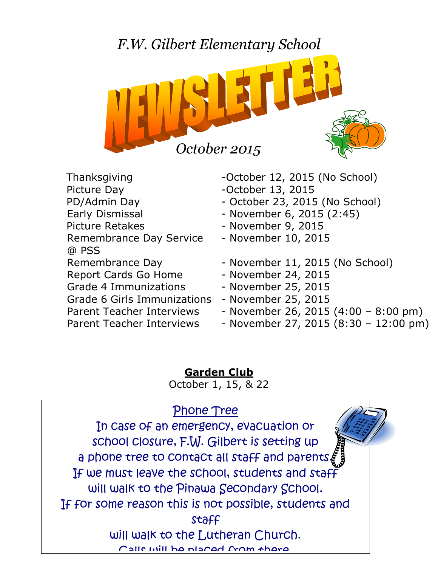

- Picture Day **-October 13, 2015** Early Dismissal **Early Dismissal** - November 6, 2015 (2:45) Picture Retakes - November 9, 2015 Remembrance Day Service - November 10, 2015 @ PSS Report Cards Go Home - November 24, 2015 Grade 4 Immunizations - November 25, 2015 Grade 6 Girls Immunizations - November 25, 2015 Parent Teacher Interviews - November 26, 2015 (4:00 - 8:00 pm)
- Thanksgiving October 12, 2015 (No School) PD/Admin Day - October 23, 2015 (No School) Remembrance Day - November 11, 2015 (No School)
	-
	-
	-
- Parent Teacher Interviews November 27, 2015 (8:30 12:00 pm)

**Garden Club** October 1, 15, & 22

# Phone Tree

In case of an emergency, evacuation or school closure, F.W. Gilbert is setting up a phone tree to contact all staff and parents $\boldsymbol{\xi}$ If we must leave the school, students and staff will walk to the Pinawa Secondary School. If for some reason this is not possible, students and staff will walk to the Lutheran Church. Calle will be placed from there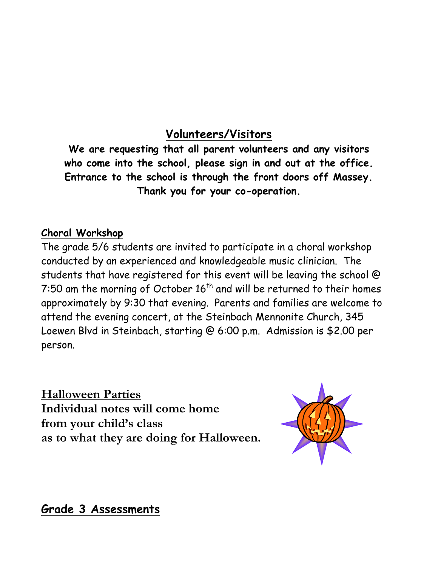## **Volunteers/Visitors**

**We are requesting that all parent volunteers and any visitors who come into the school, please sign in and out at the office. Entrance to the school is through the front doors off Massey. Thank you for your co-operation.**

#### **Choral Workshop**

The grade 5/6 students are invited to participate in a choral workshop conducted by an experienced and knowledgeable music clinician. The students that have registered for this event will be leaving the school @ 7:50 am the morning of October  $16^{\text{th}}$  and will be returned to their homes approximately by 9:30 that evening. Parents and families are welcome to attend the evening concert, at the Steinbach Mennonite Church, 345 Loewen Blvd in Steinbach, starting @ 6:00 p.m. Admission is \$2.00 per person.

**Halloween Parties Individual notes will come home from your child's class as to what they are doing for Halloween.** 



**Grade 3 Assessments**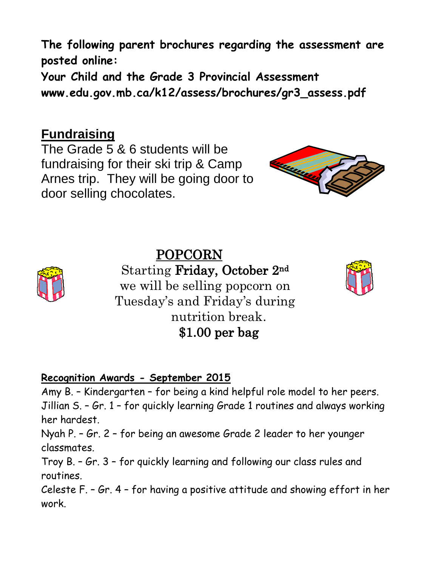**The following parent brochures regarding the assessment are posted online:**

**Your Child and the Grade 3 Provincial Assessment www.edu.gov.mb.ca/k12/assess/brochures/gr3\_assess.pdf**

## **Fundraising**

The Grade 5 & 6 students will be fundraising for their ski trip & Camp Arnes trip. They will be going door to door selling chocolates.



# POPCORN



Starting Friday, October 2nd we will be selling popcorn on Tuesday's and Friday's during nutrition break. \$1.00 per bag



## **Recognition Awards - September 2015**

Amy B. – Kindergarten – for being a kind helpful role model to her peers. Jillian S. – Gr. 1 – for quickly learning Grade 1 routines and always working her hardest.

Nyah P. – Gr. 2 – for being an awesome Grade 2 leader to her younger classmates.

Troy B. – Gr. 3 – for quickly learning and following our class rules and routines.

Celeste F. – Gr. 4 – for having a positive attitude and showing effort in her work.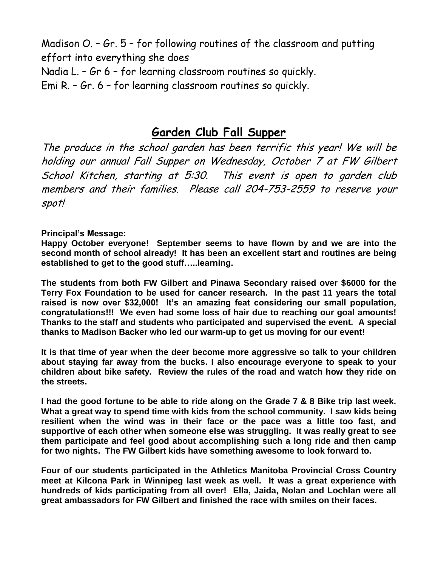Madison O. – Gr. 5 – for following routines of the classroom and putting effort into everything she does Nadia L. – Gr 6 – for learning classroom routines so quickly. Emi R. – Gr. 6 – for learning classroom routines so quickly.

## **Garden Club Fall Supper**

The produce in the school garden has been terrific this year! We will be holding our annual Fall Supper on Wednesday, October 7 at FW Gilbert School Kitchen, starting at 5:30. This event is open to garden club members and their families. Please call 204-753-2559 to reserve your spot!

#### **Principal's Message:**

**Happy October everyone! September seems to have flown by and we are into the second month of school already! It has been an excellent start and routines are being established to get to the good stuff…..learning.**

**The students from both FW Gilbert and Pinawa Secondary raised over \$6000 for the Terry Fox Foundation to be used for cancer research. In the past 11 years the total raised is now over \$32,000! It's an amazing feat considering our small population, congratulations!!! We even had some loss of hair due to reaching our goal amounts! Thanks to the staff and students who participated and supervised the event. A special thanks to Madison Backer who led our warm-up to get us moving for our event!** 

**It is that time of year when the deer become more aggressive so talk to your children about staying far away from the bucks. I also encourage everyone to speak to your children about bike safety. Review the rules of the road and watch how they ride on the streets.**

**I had the good fortune to be able to ride along on the Grade 7 & 8 Bike trip last week. What a great way to spend time with kids from the school community. I saw kids being resilient when the wind was in their face or the pace was a little too fast, and supportive of each other when someone else was struggling. It was really great to see them participate and feel good about accomplishing such a long ride and then camp for two nights. The FW Gilbert kids have something awesome to look forward to.**

**Four of our students participated in the Athletics Manitoba Provincial Cross Country meet at Kilcona Park in Winnipeg last week as well. It was a great experience with hundreds of kids participating from all over! Ella, Jaida, Nolan and Lochlan were all great ambassadors for FW Gilbert and finished the race with smiles on their faces.**